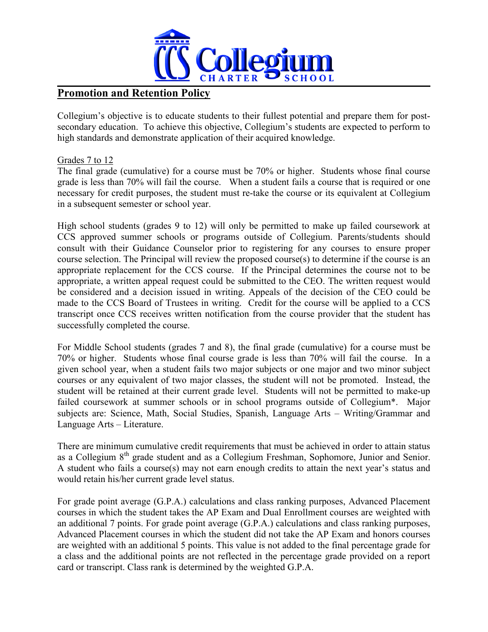

# **Promotion and Retention Policy**

Collegium's objective is to educate students to their fullest potential and prepare them for postsecondary education. To achieve this objective, Collegium's students are expected to perform to high standards and demonstrate application of their acquired knowledge.

# Grades 7 to 12

The final grade (cumulative) for a course must be 70% or higher. Students whose final course grade is less than 70% will fail the course. When a student fails a course that is required or one necessary for credit purposes, the student must re-take the course or its equivalent at Collegium in a subsequent semester or school year.

High school students (grades 9 to 12) will only be permitted to make up failed coursework at CCS approved summer schools or programs outside of Collegium. Parents/students should consult with their Guidance Counselor prior to registering for any courses to ensure proper course selection. The Principal will review the proposed course(s) to determine if the course is an appropriate replacement for the CCS course. If the Principal determines the course not to be appropriate, a written appeal request could be submitted to the CEO. The written request would be considered and a decision issued in writing. Appeals of the decision of the CEO could be made to the CCS Board of Trustees in writing. Credit for the course will be applied to a CCS transcript once CCS receives written notification from the course provider that the student has successfully completed the course.

For Middle School students (grades 7 and 8), the final grade (cumulative) for a course must be 70% or higher. Students whose final course grade is less than 70% will fail the course. In a given school year, when a student fails two major subjects or one major and two minor subject courses or any equivalent of two major classes, the student will not be promoted. Instead, the student will be retained at their current grade level. Students will not be permitted to make-up failed coursework at summer schools or in school programs outside of Collegium\*. Major subjects are: Science, Math, Social Studies, Spanish, Language Arts – Writing/Grammar and Language Arts – Literature.

There are minimum cumulative credit requirements that must be achieved in order to attain status as a Collegium 8th grade student and as a Collegium Freshman, Sophomore, Junior and Senior. A student who fails a course(s) may not earn enough credits to attain the next year's status and would retain his/her current grade level status.

For grade point average (G.P.A.) calculations and class ranking purposes, Advanced Placement courses in which the student takes the AP Exam and Dual Enrollment courses are weighted with an additional 7 points. For grade point average (G.P.A.) calculations and class ranking purposes, Advanced Placement courses in which the student did not take the AP Exam and honors courses are weighted with an additional 5 points. This value is not added to the final percentage grade for a class and the additional points are not reflected in the percentage grade provided on a report card or transcript. Class rank is determined by the weighted G.P.A.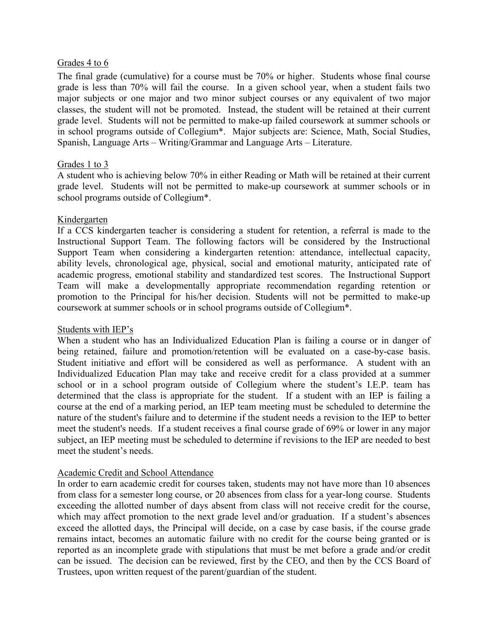#### Grades 4 to 6

The final grade (cumulative) for a course must be 70% or higher. Students whose final course grade is less than 70% will fail the course. In a given school year, when a student fails two major subjects or one major and two minor subject courses or any equivalent of two major classes, the student will not be promoted. Instead, the student will be retained at their current grade level. Students will not be permitted to make-up failed coursework at summer schools or in school programs outside of Collegium\*. Major subjects are: Science, Math, Social Studies, Spanish, Language Arts – Writing/Grammar and Language Arts – Literature.

# Grades 1 to 3

A student who is achieving below 70% in either Reading or Math will be retained at their current grade level. Students will not be permitted to make-up coursework at summer schools or in school programs outside of Collegium\*.

#### Kindergarten

If a CCS kindergarten teacher is considering a student for retention, a referral is made to the Instructional Support Team. The following factors will be considered by the Instructional Support Team when considering a kindergarten retention: attendance, intellectual capacity, ability levels, chronological age, physical, social and emotional maturity, anticipated rate of academic progress, emotional stability and standardized test scores. The Instructional Support Team will make a developmentally appropriate recommendation regarding retention or promotion to the Principal for his/her decision. Students will not be permitted to make-up coursework at summer schools or in school programs outside of Collegium\*.

# Students with IEP's

When a student who has an Individualized Education Plan is failing a course or in danger of being retained, failure and promotion/retention will be evaluated on a case-by-case basis. Student initiative and effort will be considered as well as performance. A student with an Individualized Education Plan may take and receive credit for a class provided at a summer school or in a school program outside of Collegium where the student's I.E.P. team has determined that the class is appropriate for the student. If a student with an IEP is failing a course at the end of a marking period, an IEP team meeting must be scheduled to determine the nature of the student's failure and to determine if the student needs a revision to the IEP to better meet the student's needs. If a student receives a final course grade of 69% or lower in any major subject, an IEP meeting must be scheduled to determine if revisions to the IEP are needed to best meet the student's needs.

# Academic Credit and School Attendance

In order to earn academic credit for courses taken, students may not have more than 10 absences from class for a semester long course, or 20 absences from class for a year-long course. Students exceeding the allotted number of days absent from class will not receive credit for the course, which may affect promotion to the next grade level and/or graduation. If a student's absences exceed the allotted days, the Principal will decide, on a case by case basis, if the course grade remains intact, becomes an automatic failure with no credit for the course being granted or is reported as an incomplete grade with stipulations that must be met before a grade and/or credit can be issued. The decision can be reviewed, first by the CEO, and then by the CCS Board of Trustees, upon written request of the parent/guardian of the student.